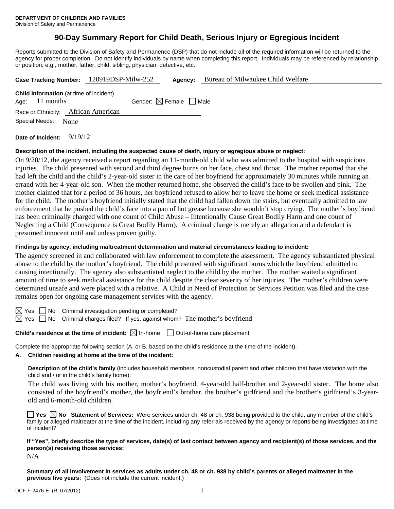# **90-Day Summary Report for Child Death, Serious Injury or Egregious Incident**

Reports submitted to the Division of Safety and Permanence (DSP) that do not include all of the required information will be returned to the agency for proper completion. Do not identify individuals by name when completing this report. Individuals may be referenced by relationship or position; e.g., mother, father, child, sibling, physician, detective, etc.

|                |                  | Case Tracking Number: 120919DSP-Milw-252       | Agency:                                | Bureau of Milwaukee Child Welfare |
|----------------|------------------|------------------------------------------------|----------------------------------------|-----------------------------------|
|                | Age: $11$ months | <b>Child Information</b> (at time of incident) | Gender: $\boxtimes$ Female $\Box$ Male |                                   |
|                |                  | Race or Ethnicity: African American            |                                        |                                   |
| Special Needs: | None             |                                                |                                        |                                   |
|                | $      0/10/10$  |                                                |                                        |                                   |

**Date of Incident:** 9/19/12

#### **Description of the incident, including the suspected cause of death, injury or egregious abuse or neglect:**

On 9/20/12, the agency received a report regarding an 11-month-old child who was admitted to the hospital with suspicious injuries. The child presented with second and third degree burns on her face, chest and throat. The mother reported that she had left the child and the child's 2-year-old sister in the care of her boyfriend for approximately 30 minutes while running an errand with her 4-year-old son. When the mother returned home, she observed the child's face to be swollen and pink. The mother claimed that for a period of 36 hours, her boyfriend refused to allow her to leave the home or seek medical assistance for the child. The mother's boyfriend initially stated that the child had fallen down the stairs, but eventually admitted to law enforcement that he pushed the child's face into a pan of hot grease because she wouldn't stop crying. The mother's boyfriend has been criminally charged with one count of Child Abuse – Intentionally Cause Great Bodily Harm and one count of Neglecting a Child (Consequence is Great Bodily Harm). A criminal charge is merely an allegation and a defendant is presumed innocent until and unless proven guilty.

#### **Findings by agency, including maltreatment determination and material circumstances leading to incident:**

The agency screened in and collaborated with law enforcement to complete the assessment. The agency substantiated physical abuse to the child by the mother's boyfriend. The child presented with significant burns which the boyfriend admitted to causing intentionally. The agency also substantiated neglect to the child by the mother. The mother waited a significant amount of time to seek medical assistance for the child despite the clear severity of her injuries. The mother's children were determined unsafe and were placed with a relative. A Child in Need of Protection or Services Petition was filed and the case remains open for ongoing case management services with the agency.

 $\boxtimes$  Yes  $\Box$  No Criminal investigation pending or completed?

 $\boxtimes$  Yes  $\Box$  No Criminal charges filed? If yes, against whom? The mother's boyfriend

## **Child's residence at the time of incident:**  $\boxtimes$  In-home  $\Box$  Out-of-home care placement

Complete the appropriate following section (A. or B. based on the child's residence at the time of the incident).

# **A. Children residing at home at the time of the incident:**

**Description of the child's family** (includes household members, noncustodial parent and other children that have visitation with the child and / or in the child's family home):

The child was living with his mother, mother's boyfriend, 4-year-old half-brother and 2-year-old sister. The home also consisted of the boyfriend's mother, the boyfriend's brother, the brother's girlfriend and the brother's girlfriend's 3-yearold and 6-month-old children.

**Yes**  $\boxtimes$  **No** Statement of Services: Were services under ch. 48 or ch. 938 being provided to the child, any member of the child's family or alleged maltreater at the time of the incident, including any referrals received by the agency or reports being investigated at time of incident?

# **If "Yes", briefly describe the type of services, date(s) of last contact between agency and recipient(s) of those services, and the person(s) receiving those services:**

N/A

**Summary of all involvement in services as adults under ch. 48 or ch. 938 by child's parents or alleged maltreater in the previous five years:** (Does not include the current incident.)